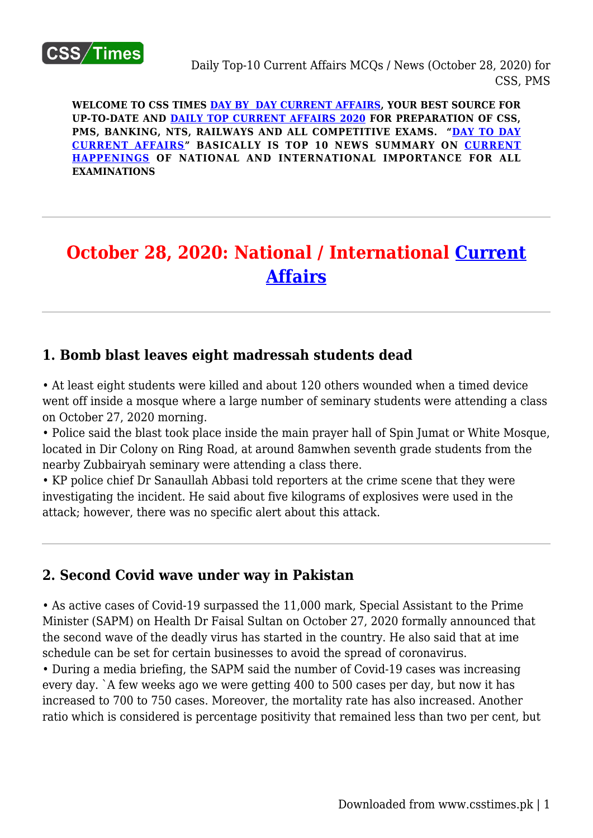

**WELCOME TO CSS TIMES [DAY BY DAY CURRENT AFFAIRS](https://www.csstimes.pk/category/csssubject/csscompulsorysubjects/currentaffairs/), YOUR BEST SOURCE FOR UP-TO-DATE AND [DAILY TOP CURRENT AFFAIRS 2020](https://www.csstimes.pk/category/csssubject/csscompulsorysubjects/currentaffairs/) FOR PREPARATION OF CSS, PMS, BANKING, NTS, RAILWAYS AND ALL COMPETITIVE EXAMS. "[DAY TO DAY](https://www.csstimes.pk/category/csssubject/csscompulsorysubjects/currentaffairs/) [CURRENT AFFAIRS"](https://www.csstimes.pk/category/csssubject/csscompulsorysubjects/currentaffairs/) BASICALLY IS TOP 10 NEWS SUMMARY ON [CURRENT](https://www.csstimes.pk/category/csssubject/csscompulsorysubjects/currentaffairs/) [HAPPENINGS](https://www.csstimes.pk/category/csssubject/csscompulsorysubjects/currentaffairs/) OF NATIONAL AND INTERNATIONAL IMPORTANCE FOR ALL EXAMINATIONS**

# **October 28, 2020: National / International [Current](https://www.csstimes.pk/category/csssubject/csscompulsorysubjects/currentaffairs/) [Affairs](https://www.csstimes.pk/category/csssubject/csscompulsorysubjects/currentaffairs/)**

#### **1. Bomb blast leaves eight madressah students dead**

• At least eight students were killed and about 120 others wounded when a timed device went off inside a mosque where a large number of seminary students were attending a class on October 27, 2020 morning.

• Police said the blast took place inside the main prayer hall of Spin Jumat or White Mosque, located in Dir Colony on Ring Road, at around 8amwhen seventh grade students from the nearby Zubbairyah seminary were attending a class there.

• KP police chief Dr Sanaullah Abbasi told reporters at the crime scene that they were investigating the incident. He said about five kilograms of explosives were used in the attack; however, there was no specific alert about this attack.

#### **2. Second Covid wave under way in Pakistan**

• As active cases of Covid-19 surpassed the 11,000 mark, Special Assistant to the Prime Minister (SAPM) on Health Dr Faisal Sultan on October 27, 2020 formally announced that the second wave of the deadly virus has started in the country. He also said that at ime schedule can be set for certain businesses to avoid the spread of coronavirus.

• During a media briefing, the SAPM said the number of Covid-19 cases was increasing every day. `A few weeks ago we were getting 400 to 500 cases per day, but now it has increased to 700 to 750 cases. Moreover, the mortality rate has also increased. Another ratio which is considered is percentage positivity that remained less than two per cent, but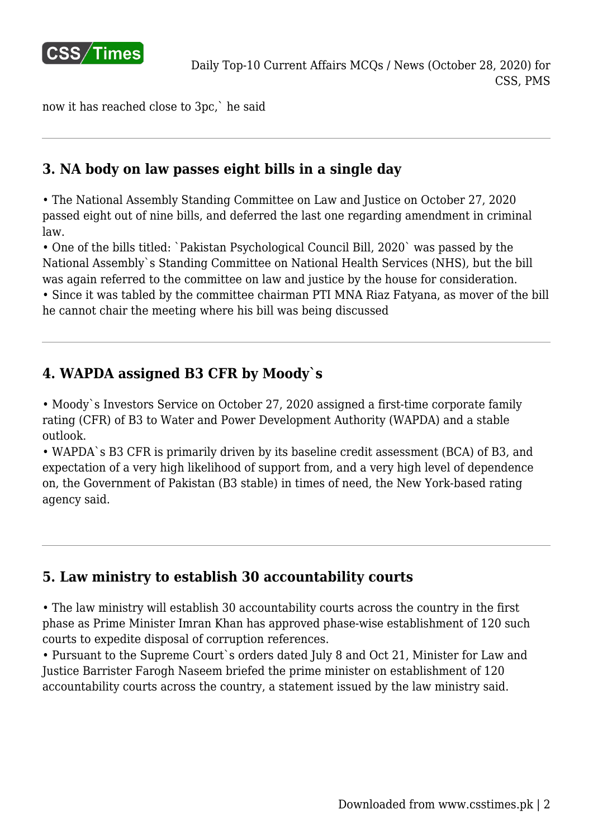

now it has reached close to 3pc,` he said

## **3. NA body on law passes eight bills in a single day**

• The National Assembly Standing Committee on Law and Justice on October 27, 2020 passed eight out of nine bills, and deferred the last one regarding amendment in criminal law.

• One of the bills titled: `Pakistan Psychological Council Bill, 2020` was passed by the National Assembly`s Standing Committee on National Health Services (NHS), but the bill was again referred to the committee on law and justice by the house for consideration.

• Since it was tabled by the committee chairman PTI MNA Riaz Fatyana, as mover of the bill he cannot chair the meeting where his bill was being discussed

## **4. WAPDA assigned B3 CFR by Moody`s**

• Moody`s Investors Service on October 27, 2020 assigned a first-time corporate family rating (CFR) of B3 to Water and Power Development Authority (WAPDA) and a stable outlook.

• WAPDA`s B3 CFR is primarily driven by its baseline credit assessment (BCA) of B3, and expectation of a very high likelihood of support from, and a very high level of dependence on, the Government of Pakistan (B3 stable) in times of need, the New York-based rating agency said.

## **5. Law ministry to establish 30 accountability courts**

• The law ministry will establish 30 accountability courts across the country in the first phase as Prime Minister Imran Khan has approved phase-wise establishment of 120 such courts to expedite disposal of corruption references.

• Pursuant to the Supreme Court`s orders dated July 8 and Oct 21, Minister for Law and Justice Barrister Farogh Naseem briefed the prime minister on establishment of 120 accountability courts across the country, a statement issued by the law ministry said.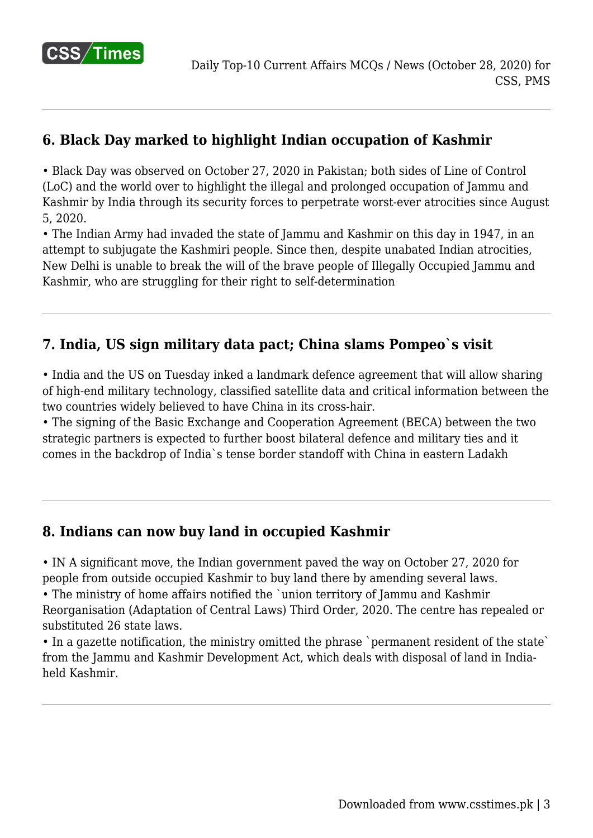

## **6. Black Day marked to highlight Indian occupation of Kashmir**

• Black Day was observed on October 27, 2020 in Pakistan; both sides of Line of Control (LoC) and the world over to highlight the illegal and prolonged occupation of Jammu and Kashmir by India through its security forces to perpetrate worst-ever atrocities since August 5, 2020.

• The Indian Army had invaded the state of Jammu and Kashmir on this day in 1947, in an attempt to subjugate the Kashmiri people. Since then, despite unabated Indian atrocities, New Delhi is unable to break the will of the brave people of Illegally Occupied Jammu and Kashmir, who are struggling for their right to self-determination

#### **7. India, US sign military data pact; China slams Pompeo`s visit**

• India and the US on Tuesday inked a landmark defence agreement that will allow sharing of high-end military technology, classified satellite data and critical information between the two countries widely believed to have China in its cross-hair.

• The signing of the Basic Exchange and Cooperation Agreement (BECA) between the two strategic partners is expected to further boost bilateral defence and military ties and it comes in the backdrop of India`s tense border standoff with China in eastern Ladakh

#### **8. Indians can now buy land in occupied Kashmir**

• IN A significant move, the Indian government paved the way on October 27, 2020 for people from outside occupied Kashmir to buy land there by amending several laws.

• The ministry of home affairs notified the `union territory of Jammu and Kashmir Reorganisation (Adaptation of Central Laws) Third Order, 2020. The centre has repealed or substituted 26 state laws.

• In a gazette notification, the ministry omitted the phrase `permanent resident of the state` from the Jammu and Kashmir Development Act, which deals with disposal of land in Indiaheld Kashmir.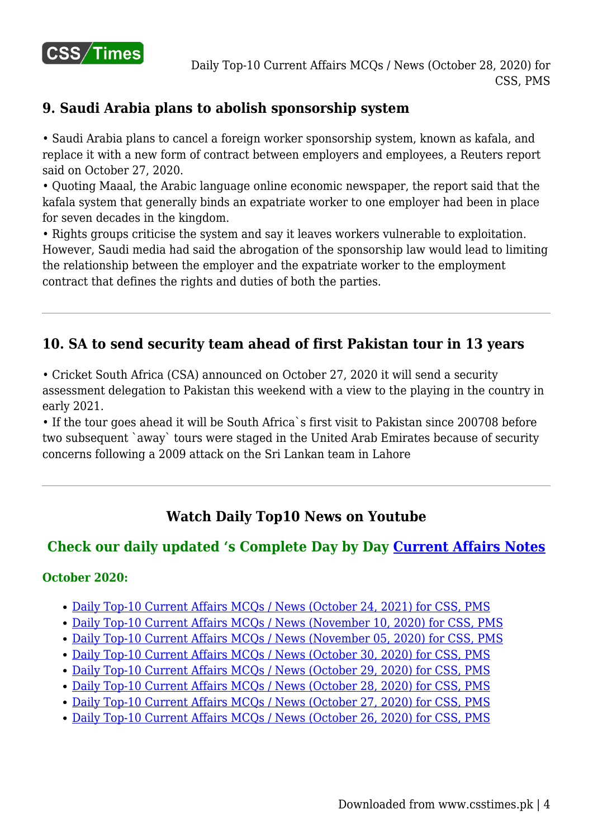

#### **9. Saudi Arabia plans to abolish sponsorship system**

• Saudi Arabia plans to cancel a foreign worker sponsorship system, known as kafala, and replace it with a new form of contract between employers and employees, a Reuters report said on October 27, 2020.

• Quoting Maaal, the Arabic language online economic newspaper, the report said that the kafala system that generally binds an expatriate worker to one employer had been in place for seven decades in the kingdom.

• Rights groups criticise the system and say it leaves workers vulnerable to exploitation. However, Saudi media had said the abrogation of the sponsorship law would lead to limiting the relationship between the employer and the expatriate worker to the employment contract that defines the rights and duties of both the parties.

## **10. SA to send security team ahead of first Pakistan tour in 13 years**

• Cricket South Africa (CSA) announced on October 27, 2020 it will send a security assessment delegation to Pakistan this weekend with a view to the playing in the country in early 2021.

• If the tour goes ahead it will be South Africa`s first visit to Pakistan since 200708 before two subsequent `away` tours were staged in the United Arab Emirates because of security concerns following a 2009 attack on the Sri Lankan team in Lahore

## **Watch Daily Top10 News on Youtube**

#### **Check our daily updated 's Complete Day by Day [Current Affairs Notes](https://www.csstimes.pk/category/csssubject/csscompulsorysubjects/currentaffairs/)**

#### **October 2020:**

- [Daily Top-10 Current Affairs MCQs / News \(October 24, 2021\) for CSS, PMS](https://www.csstimes.pk/current-affairs-mcqs-oct-24-2021/)
- [Daily Top-10 Current Affairs MCQs / News \(November 10, 2020\) for CSS, PMS](https://www.csstimes.pk/current-affairs-mcqs-nov-10-2020/)
- [Daily Top-10 Current Affairs MCQs / News \(November 05, 2020\) for CSS, PMS](https://www.csstimes.pk/current-affairs-mcqs-nov-05-2020/)
- [Daily Top-10 Current Affairs MCQs / News \(October 30, 2020\) for CSS, PMS](https://www.csstimes.pk/current-affairs-mcqs-oct-30-2020/)
- [Daily Top-10 Current Affairs MCQs / News \(October 29, 2020\) for CSS, PMS](https://www.csstimes.pk/current-affairs-mcqs-oct-29-2020/)
- [Daily Top-10 Current Affairs MCQs / News \(October 28, 2020\) for CSS, PMS](https://www.csstimes.pk/current-affairs-mcqs-oct-28-2020/)
- [Daily Top-10 Current Affairs MCQs / News \(October 27, 2020\) for CSS, PMS](https://www.csstimes.pk/current-affairs-mcqs-oct-27-2020/)
- [Daily Top-10 Current Affairs MCQs / News \(October 26, 2020\) for CSS, PMS](https://www.csstimes.pk/current-affairs-mcqs-oct-26-2020/)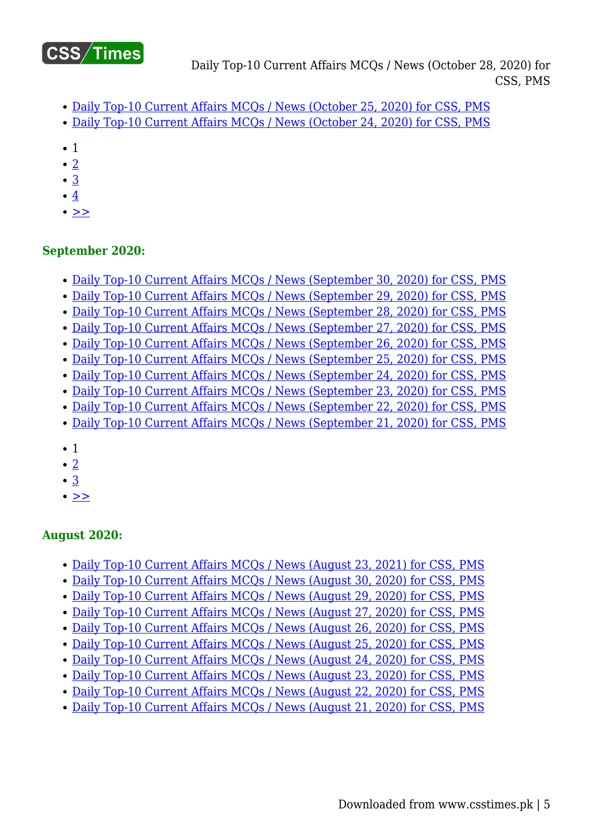

- [Daily Top-10 Current Affairs MCQs / News \(October 25, 2020\) for CSS, PMS](https://www.csstimes.pk/current-affairs-mcqs-oct-25-2020/)
- [Daily Top-10 Current Affairs MCQs / News \(October 24, 2020\) for CSS, PMS](https://www.csstimes.pk/top-10-current-affairs-mcqs-oct-24-2020/)
- $\bullet$  1
- [2](https://www.csstimes.pk/current-affairs-mcqs-oct-28-2020/?pdf=14910&lcp_page0=2#lcp_instance_0)
- [3](https://www.csstimes.pk/current-affairs-mcqs-oct-28-2020/?pdf=14910&lcp_page0=3#lcp_instance_0)
- $\cdot$  [4](https://www.csstimes.pk/current-affairs-mcqs-oct-28-2020/?pdf=14910&lcp_page0=4#lcp_instance_0)
- $\bullet$   $>$

#### **September 2020:**

- [Daily Top-10 Current Affairs MCQs / News \(September 30, 2020\) for CSS, PMS](https://www.csstimes.pk/current-affairs-mcqs-sep-30-2020/)
- [Daily Top-10 Current Affairs MCQs / News \(September 29, 2020\) for CSS, PMS](https://www.csstimes.pk/current-affairs-mcqs-sep-29-2020/)
- [Daily Top-10 Current Affairs MCQs / News \(September 28, 2020\) for CSS, PMS](https://www.csstimes.pk/current-affairs-mcqs-sep-28-2020/)
- [Daily Top-10 Current Affairs MCQs / News \(September 27, 2020\) for CSS, PMS](https://www.csstimes.pk/current-affairs-mcqs-sep-27-2020/)
- [Daily Top-10 Current Affairs MCQs / News \(September 26, 2020\) for CSS, PMS](https://www.csstimes.pk/current-affairs-mcqs-sep-26-2020/)
- [Daily Top-10 Current Affairs MCQs / News \(September 25, 2020\) for CSS, PMS](https://www.csstimes.pk/current-affairs-mcqs-sep-25-2020/)
- [Daily Top-10 Current Affairs MCQs / News \(September 24, 2020\) for CSS, PMS](https://www.csstimes.pk/current-affairs-mcqs-sep-24-2020/)
- [Daily Top-10 Current Affairs MCQs / News \(September 23, 2020\) for CSS, PMS](https://www.csstimes.pk/current-affairs-mcqs-sep-23-2020/)
- [Daily Top-10 Current Affairs MCQs / News \(September 22, 2020\) for CSS, PMS](https://www.csstimes.pk/current-affairs-mcqs-sep-21-2020-2/)
- [Daily Top-10 Current Affairs MCQs / News \(September 21, 2020\) for CSS, PMS](https://www.csstimes.pk/current-affairs-mcqs-sep-21-2020/)
- 1
- [2](https://www.csstimes.pk/current-affairs-mcqs-oct-28-2020/?pdf=14910&lcp_page0=2#lcp_instance_0)
- $\cdot$  [3](https://www.csstimes.pk/current-affairs-mcqs-oct-28-2020/?pdf=14910&lcp_page0=3#lcp_instance_0)
- $\cdot$   $\geq$

#### **August 2020:**

- [Daily Top-10 Current Affairs MCQs / News \(August 23, 2021\) for CSS, PMS](https://www.csstimes.pk/current-affairs-mcqs-aug-23-2021/)
- [Daily Top-10 Current Affairs MCQs / News \(August 30, 2020\) for CSS, PMS](https://www.csstimes.pk/current-affairs-mcqs-august-30-2020/)
- [Daily Top-10 Current Affairs MCQs / News \(August 29, 2020\) for CSS, PMS](https://www.csstimes.pk/daily-top-10-current-affairs-mcqs-news-august-29-2020-css-pms/)
- [Daily Top-10 Current Affairs MCQs / News \(August 27, 2020\) for CSS, PMS](https://www.csstimes.pk/current-affairs-mcqs-august-27-2020/)
- [Daily Top-10 Current Affairs MCQs / News \(August 26, 2020\) for CSS, PMS](https://www.csstimes.pk/current-affairs-mcqs-august-26-2020/)
- [Daily Top-10 Current Affairs MCQs / News \(August 25, 2020\) for CSS, PMS](https://www.csstimes.pk/current-affairs-mcqs-august-25-2020/)
- [Daily Top-10 Current Affairs MCQs / News \(August 24, 2020\) for CSS, PMS](https://www.csstimes.pk/current-affairs-mcqs-august-24-2020/)
- [Daily Top-10 Current Affairs MCQs / News \(August 23, 2020\) for CSS, PMS](https://www.csstimes.pk/current-affairs-mcqs-news-august-23-2020/)
- [Daily Top-10 Current Affairs MCQs / News \(August 22, 2020\) for CSS, PMS](https://www.csstimes.pk/current-affairs-mcqs-august-22-2020/)
- [Daily Top-10 Current Affairs MCQs / News \(August 21, 2020\) for CSS, PMS](https://www.csstimes.pk/current-affairs-mcqs-august-21-2020/)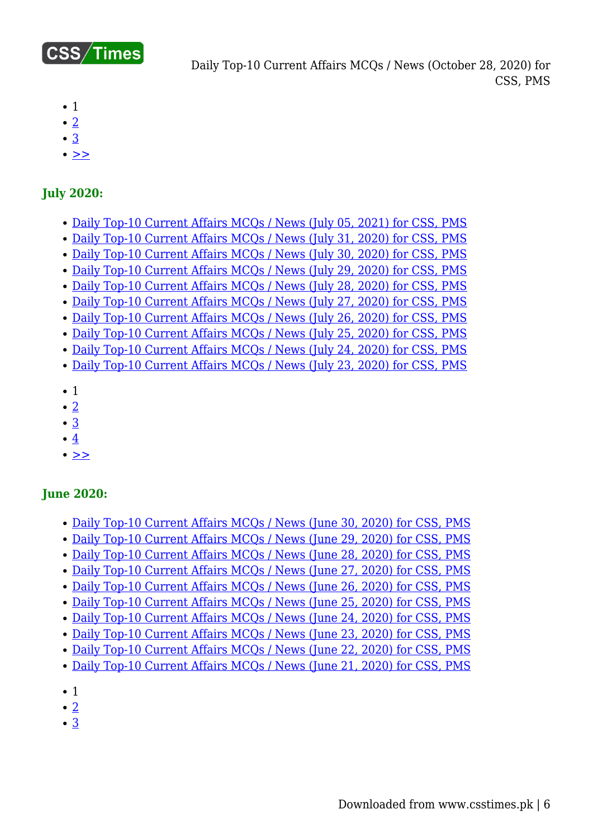

- $\bullet$  1
- $\cdot$  [2](https://www.csstimes.pk/current-affairs-mcqs-oct-28-2020/?pdf=14910&lcp_page0=2#lcp_instance_0)
- [3](https://www.csstimes.pk/current-affairs-mcqs-oct-28-2020/?pdf=14910&lcp_page0=3#lcp_instance_0)
- $\bullet$   $>$

#### **July 2020:**

- [Daily Top-10 Current Affairs MCQs / News \(July 05, 2021\) for CSS, PMS](https://www.csstimes.pk/current-affairs-mcqs-news-jul-5-2021/)
- [Daily Top-10 Current Affairs MCQs / News \(July 31, 2020\) for CSS, PMS](https://www.csstimes.pk/current-affairs-mcqs-july-31-2020/)
- [Daily Top-10 Current Affairs MCQs / News \(July 30, 2020\) for CSS, PMS](https://www.csstimes.pk/current-affairs-mcqs-july-30-2020/)
- [Daily Top-10 Current Affairs MCQs / News \(July 29, 2020\) for CSS, PMS](https://www.csstimes.pk/current-affairs-mcqs-july-29/)
- [Daily Top-10 Current Affairs MCQs / News \(July 28, 2020\) for CSS, PMS](https://www.csstimes.pk/current-affairs-mcqs-july-28-2020/)
- [Daily Top-10 Current Affairs MCQs / News \(July 27, 2020\) for CSS, PMS](https://www.csstimes.pk/current-affairs-mcqs-july-27-2020/) [Daily Top-10 Current Affairs MCQs / News \(July 26, 2020\) for CSS, PMS](https://www.csstimes.pk/current-affairs-mcqs-july-26-2020/)
- [Daily Top-10 Current Affairs MCQs / News \(July 25, 2020\) for CSS, PMS](https://www.csstimes.pk/current-affairs-mcqs-july-25-2020/)
- [Daily Top-10 Current Affairs MCQs / News \(July 24, 2020\) for CSS, PMS](https://www.csstimes.pk/current-affairs-mcqs-july-24-2020/)
- [Daily Top-10 Current Affairs MCQs / News \(July 23, 2020\) for CSS, PMS](https://www.csstimes.pk/current-affairs-mcqs-july-23-2020/)
- $\bullet$  1
- $\cdot$  [2](https://www.csstimes.pk/current-affairs-mcqs-oct-28-2020/?pdf=14910&lcp_page0=2#lcp_instance_0)
- [3](https://www.csstimes.pk/current-affairs-mcqs-oct-28-2020/?pdf=14910&lcp_page0=3#lcp_instance_0)
- $\cdot$   $4$
- $\bullet$  [>>](https://www.csstimes.pk/current-affairs-mcqs-oct-28-2020/?pdf=14910&lcp_page0=2#lcp_instance_0)

#### **June 2020:**

- [Daily Top-10 Current Affairs MCQs / News \(June 30, 2020\) for CSS, PMS](https://www.csstimes.pk/current-affairs-mcqs-june-30-2020/)
- [Daily Top-10 Current Affairs MCQs / News \(June 29, 2020\) for CSS, PMS](https://www.csstimes.pk/current-affairs-mcqs-29-2020/)
- [Daily Top-10 Current Affairs MCQs / News \(June 28, 2020\) for CSS, PMS](https://www.csstimes.pk/current-affairs-mcqs-june-28-2020/)
- [Daily Top-10 Current Affairs MCQs / News \(June 27, 2020\) for CSS, PMS](https://www.csstimes.pk/current-affairs-mcqs-june-27-2020/)
- [Daily Top-10 Current Affairs MCQs / News \(June 26, 2020\) for CSS, PMS](https://www.csstimes.pk/current-affairs-mcqs-june-26-2020/)
- [Daily Top-10 Current Affairs MCQs / News \(June 25, 2020\) for CSS, PMS](https://www.csstimes.pk/daily-top-10-current-affairs-mcqs-news-june-25-2020-css-pms/)
- [Daily Top-10 Current Affairs MCQs / News \(June 24, 2020\) for CSS, PMS](https://www.csstimes.pk/current-affairs-mcqs-june-24-2020/)
- [Daily Top-10 Current Affairs MCQs / News \(June 23, 2020\) for CSS, PMS](https://www.csstimes.pk/current-affairs-mcqs-june-23-2020/)
- [Daily Top-10 Current Affairs MCQs / News \(June 22, 2020\) for CSS, PMS](https://www.csstimes.pk/current-affairs-mcqs-june-22-2020/)
- [Daily Top-10 Current Affairs MCQs / News \(June 21, 2020\) for CSS, PMS](https://www.csstimes.pk/current-affairs-mcqs-june-21-2020/)
- 1
- $\bullet$  [2](https://www.csstimes.pk/current-affairs-mcqs-oct-28-2020/?pdf=14910&lcp_page0=2#lcp_instance_0)
- [3](https://www.csstimes.pk/current-affairs-mcqs-oct-28-2020/?pdf=14910&lcp_page0=3#lcp_instance_0)